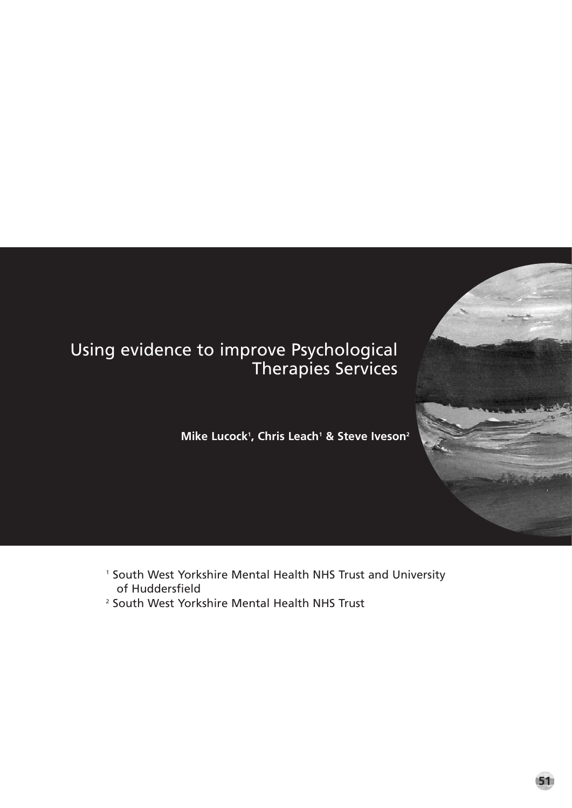# Using evidence to improve Psychological Therapies Services

### Mike Lucock<sup>1</sup>, Chris Leach<sup>1</sup> & Steve Iveson<sup>2</sup>

- 1 South West Yorkshire Mental Health NHS Trust and University of Huddersfield 2 South West Yorkshire Mental Health NHS Trust
-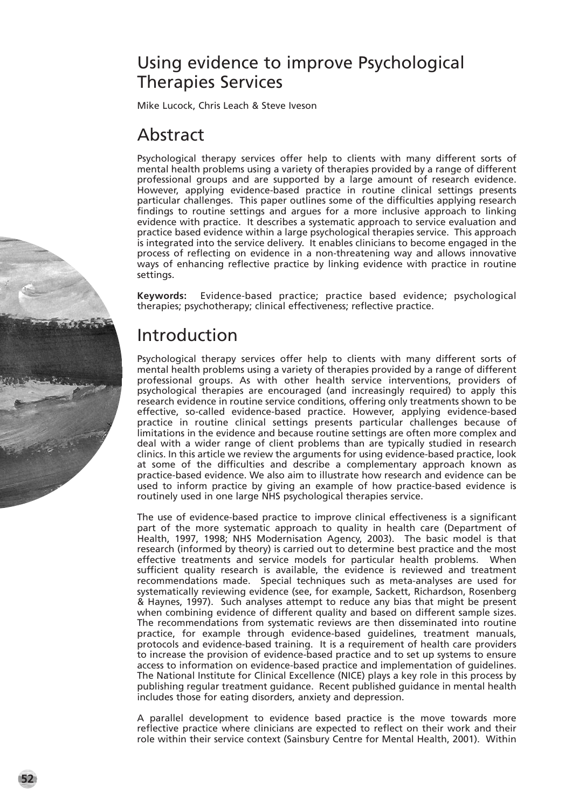## Using evidence to improve Psychological Therapies Services

Mike Lucock, Chris Leach & Steve Iveson

### Abstract

Psychological therapy services offer help to clients with many different sorts of mental health problems using a variety of therapies provided by a range of different professional groups and are supported by a large amount of research evidence. However, applying evidence-based practice in routine clinical settings presents particular challenges. This paper outlines some of the difficulties applying research findings to routine settings and argues for a more inclusive approach to linking evidence with practice. It describes a systematic approach to service evaluation and practice based evidence within a large psychological therapies service. This approach is integrated into the service delivery. It enables clinicians to become engaged in the process of reflecting on evidence in a non-threatening way and allows innovative ways of enhancing reflective practice by linking evidence with practice in routine settings.

**Keywords:** Evidence-based practice; practice based evidence; psychological therapies; psychotherapy; clinical effectiveness; reflective practice.

# Introduction

Psychological therapy services offer help to clients with many different sorts of mental health problems using a variety of therapies provided by a range of different professional groups. As with other health service interventions, providers of psychological therapies are encouraged (and increasingly required) to apply this research evidence in routine service conditions, offering only treatments shown to be effective, so-called evidence-based practice. However, applying evidence-based practice in routine clinical settings presents particular challenges because of limitations in the evidence and because routine settings are often more complex and deal with a wider range of client problems than are typically studied in research clinics. In this article we review the arguments for using evidence-based practice, look at some of the difficulties and describe a complementary approach known as practice-based evidence. We also aim to illustrate how research and evidence can be used to inform practice by giving an example of how practice-based evidence is routinely used in one large NHS psychological therapies service.

The use of evidence-based practice to improve clinical effectiveness is a significant part of the more systematic approach to quality in health care (Department of Health, 1997, 1998; NHS Modernisation Agency, 2003). The basic model is that research (informed by theory) is carried out to determine best practice and the most effective treatments and service models for particular health problems. When sufficient quality research is available, the evidence is reviewed and treatment recommendations made. Special techniques such as meta-analyses are used for systematically reviewing evidence (see, for example, Sackett, Richardson, Rosenberg & Haynes, 1997). Such analyses attempt to reduce any bias that might be present when combining evidence of different quality and based on different sample sizes. The recommendations from systematic reviews are then disseminated into routine practice, for example through evidence-based guidelines, treatment manuals, protocols and evidence-based training. It is a requirement of health care providers to increase the provision of evidence-based practice and to set up systems to ensure access to information on evidence-based practice and implementation of guidelines. The National Institute for Clinical Excellence (NICE) plays a key role in this process by publishing regular treatment guidance. Recent published guidance in mental health includes those for eating disorders, anxiety and depression.

A parallel development to evidence based practice is the move towards more reflective practice where clinicians are expected to reflect on their work and their role within their service context (Sainsbury Centre for Mental Health, 2001). Within

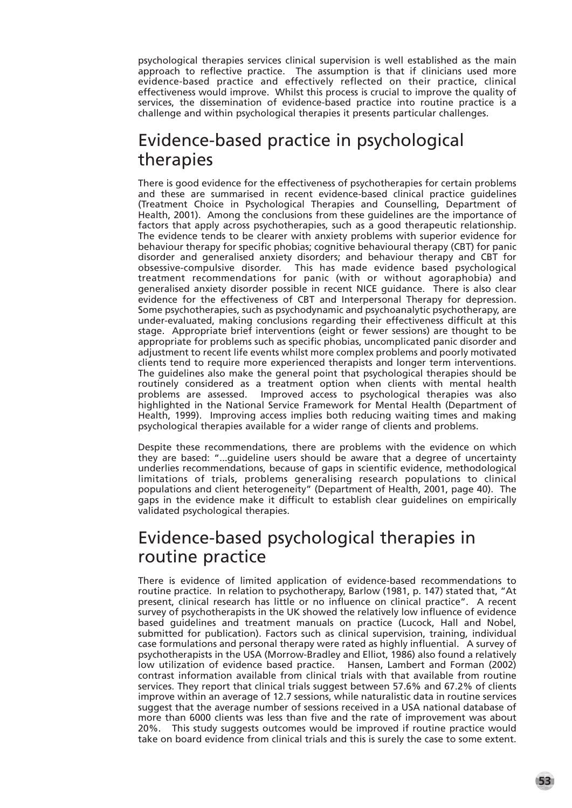psychological therapies services clinical supervision is well established as the main approach to reflective practice. The assumption is that if clinicians used more evidence-based practice and effectively reflected on their practice, clinical effectiveness would improve. Whilst this process is crucial to improve the quality of services, the dissemination of evidence-based practice into routine practice is a challenge and within psychological therapies it presents particular challenges.

### Evidence-based practice in psychological therapies

There is good evidence for the effectiveness of psychotherapies for certain problems and these are summarised in recent evidence-based clinical practice guidelines (Treatment Choice in Psychological Therapies and Counselling, Department of Health, 2001). Among the conclusions from these guidelines are the importance of factors that apply across psychotherapies, such as a good therapeutic relationship. The evidence tends to be clearer with anxiety problems with superior evidence for behaviour therapy for specific phobias; cognitive behavioural therapy (CBT) for panic disorder and generalised anxiety disorders; and behaviour therapy and CBT for obsessive-compulsive disorder. This has made evidence based psychological treatment recommendations for panic (with or without agoraphobia) and generalised anxiety disorder possible in recent NICE guidance. There is also clear evidence for the effectiveness of CBT and Interpersonal Therapy for depression. Some psychotherapies, such as psychodynamic and psychoanalytic psychotherapy, are under-evaluated, making conclusions regarding their effectiveness difficult at this stage. Appropriate brief interventions (eight or fewer sessions) are thought to be appropriate for problems such as specific phobias, uncomplicated panic disorder and adjustment to recent life events whilst more complex problems and poorly motivated clients tend to require more experienced therapists and longer term interventions. The guidelines also make the general point that psychological therapies should be routinely considered as a treatment option when clients with mental health problems are assessed. Improved access to psychological therapies was also highlighted in the National Service Framework for Mental Health (Department of Health, 1999). Improving access implies both reducing waiting times and making psychological therapies available for a wider range of clients and problems.

Despite these recommendations, there are problems with the evidence on which they are based: "...guideline users should be aware that a degree of uncertainty underlies recommendations, because of gaps in scientific evidence, methodological limitations of trials, problems generalising research populations to clinical populations and client heterogeneity" (Department of Health, 2001, page 40). The gaps in the evidence make it difficult to establish clear guidelines on empirically validated psychological therapies.

### Evidence-based psychological therapies in routine practice

There is evidence of limited application of evidence-based recommendations to routine practice. In relation to psychotherapy, Barlow (1981, p. 147) stated that, "At present, clinical research has little or no influence on clinical practice". A recent survey of psychotherapists in the UK showed the relatively low influence of evidence based guidelines and treatment manuals on practice (Lucock, Hall and Nobel, submitted for publication). Factors such as clinical supervision, training, individual case formulations and personal therapy were rated as highly influential. A survey of psychotherapists in the USA (Morrow-Bradley and Elliot, 1986) also found a relatively low utilization of evidence based practice. Hansen, Lambert and Forman (2002) contrast information available from clinical trials with that available from routine services. They report that clinical trials suggest between 57.6% and 67.2% of clients improve within an average of 12.7 sessions, while naturalistic data in routine services suggest that the average number of sessions received in a USA national database of more than 6000 clients was less than five and the rate of improvement was about 20%. This study suggests outcomes would be improved if routine practice would take on board evidence from clinical trials and this is surely the case to some extent.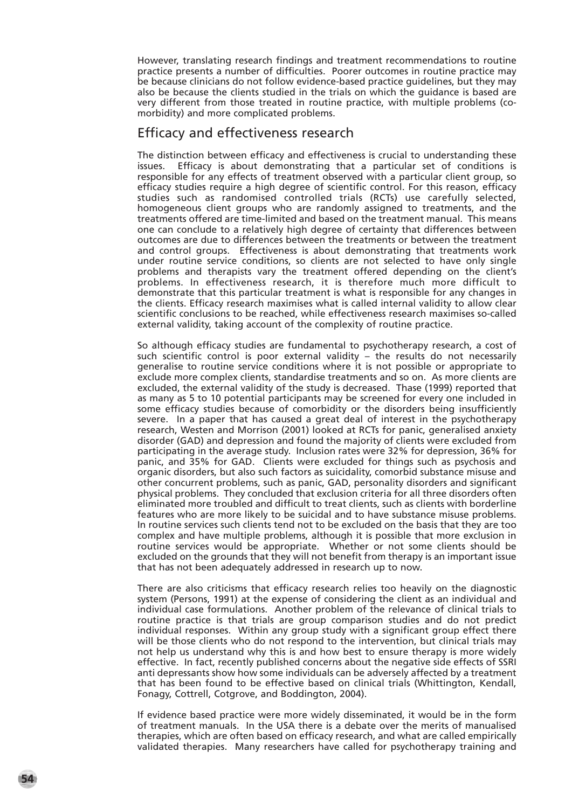However, translating research findings and treatment recommendations to routine practice presents a number of difficulties. Poorer outcomes in routine practice may be because clinicians do not follow evidence-based practice guidelines, but they may also be because the clients studied in the trials on which the guidance is based are very different from those treated in routine practice, with multiple problems (comorbidity) and more complicated problems.

#### Efficacy and effectiveness research

The distinction between efficacy and effectiveness is crucial to understanding these issues. Efficacy is about demonstrating that a particular set of conditions is responsible for any effects of treatment observed with a particular client group, so efficacy studies require a high degree of scientific control. For this reason, efficacy studies such as randomised controlled trials (RCTs) use carefully selected, homogeneous client groups who are randomly assigned to treatments, and the treatments offered are time-limited and based on the treatment manual. This means one can conclude to a relatively high degree of certainty that differences between outcomes are due to differences between the treatments or between the treatment and control groups. Effectiveness is about demonstrating that treatments work under routine service conditions, so clients are not selected to have only single problems and therapists vary the treatment offered depending on the client's problems. In effectiveness research, it is therefore much more difficult to demonstrate that this particular treatment is what is responsible for any changes in the clients. Efficacy research maximises what is called internal validity to allow clear scientific conclusions to be reached, while effectiveness research maximises so-called external validity, taking account of the complexity of routine practice.

So although efficacy studies are fundamental to psychotherapy research, a cost of such scientific control is poor external validity – the results do not necessarily generalise to routine service conditions where it is not possible or appropriate to exclude more complex clients, standardise treatments and so on. As more clients are excluded, the external validity of the study is decreased. Thase (1999) reported that as many as 5 to 10 potential participants may be screened for every one included in some efficacy studies because of comorbidity or the disorders being insufficiently severe. In a paper that has caused a great deal of interest in the psychotherapy research, Westen and Morrison (2001) looked at RCTs for panic, generalised anxiety disorder (GAD) and depression and found the majority of clients were excluded from participating in the average study. Inclusion rates were 32% for depression, 36% for panic, and 35% for GAD. Clients were excluded for things such as psychosis and organic disorders, but also such factors as suicidality, comorbid substance misuse and other concurrent problems, such as panic, GAD, personality disorders and significant physical problems. They concluded that exclusion criteria for all three disorders often eliminated more troubled and difficult to treat clients, such as clients with borderline features who are more likely to be suicidal and to have substance misuse problems. In routine services such clients tend not to be excluded on the basis that they are too complex and have multiple problems, although it is possible that more exclusion in routine services would be appropriate. Whether or not some clients should be excluded on the grounds that they will not benefit from therapy is an important issue that has not been adequately addressed in research up to now.

There are also criticisms that efficacy research relies too heavily on the diagnostic system (Persons, 1991) at the expense of considering the client as an individual and individual case formulations. Another problem of the relevance of clinical trials to routine practice is that trials are group comparison studies and do not predict individual responses. Within any group study with a significant group effect there will be those clients who do not respond to the intervention, but clinical trials may not help us understand why this is and how best to ensure therapy is more widely effective. In fact, recently published concerns about the negative side effects of SSRI anti depressants show how some individuals can be adversely affected by a treatment that has been found to be effective based on clinical trials (Whittington, Kendall, Fonagy, Cottrell, Cotgrove, and Boddington, 2004).

If evidence based practice were more widely disseminated, it would be in the form of treatment manuals. In the USA there is a debate over the merits of manualised therapies, which are often based on efficacy research, and what are called empirically validated therapies. Many researchers have called for psychotherapy training and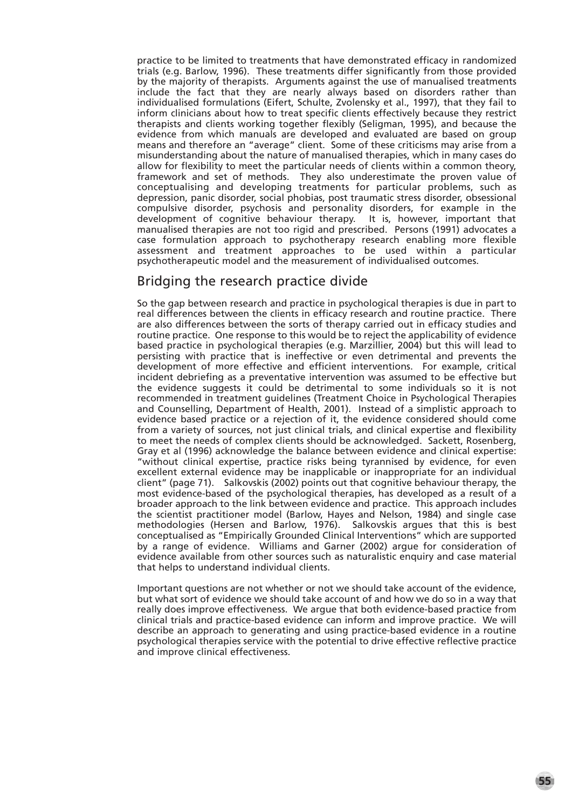practice to be limited to treatments that have demonstrated efficacy in randomized trials (e.g. Barlow, 1996). These treatments differ significantly from those provided by the majority of therapists. Arguments against the use of manualised treatments include the fact that they are nearly always based on disorders rather than individualised formulations (Eifert, Schulte, Zvolensky et al., 1997), that they fail to inform clinicians about how to treat specific clients effectively because they restrict therapists and clients working together flexibly (Seligman, 1995), and because the evidence from which manuals are developed and evaluated are based on group means and therefore an "average" client. Some of these criticisms may arise from a misunderstanding about the nature of manualised therapies, which in many cases do allow for flexibility to meet the particular needs of clients within a common theory, framework and set of methods. They also underestimate the proven value of conceptualising and developing treatments for particular problems, such as depression, panic disorder, social phobias, post traumatic stress disorder, obsessional compulsive disorder, psychosis and personality disorders, for example in the development of cognitive behaviour therapy. It is, however, important that manualised therapies are not too rigid and prescribed. Persons (1991) advocates a case formulation approach to psychotherapy research enabling more flexible assessment and treatment approaches to be used within a particular psychotherapeutic model and the measurement of individualised outcomes.

#### Bridging the research practice divide

So the gap between research and practice in psychological therapies is due in part to real differences between the clients in efficacy research and routine practice. There are also differences between the sorts of therapy carried out in efficacy studies and routine practice. One response to this would be to reject the applicability of evidence based practice in psychological therapies (e.g. Marzillier, 2004) but this will lead to persisting with practice that is ineffective or even detrimental and prevents the development of more effective and efficient interventions. For example, critical incident debriefing as a preventative intervention was assumed to be effective but the evidence suggests it could be detrimental to some individuals so it is not recommended in treatment guidelines (Treatment Choice in Psychological Therapies and Counselling, Department of Health, 2001). Instead of a simplistic approach to evidence based practice or a rejection of it, the evidence considered should come from a variety of sources, not just clinical trials, and clinical expertise and flexibility to meet the needs of complex clients should be acknowledged. Sackett, Rosenberg, Gray et al (1996) acknowledge the balance between evidence and clinical expertise: "without clinical expertise, practice risks being tyrannised by evidence, for even excellent external evidence may be inapplicable or inappropriate for an individual client" (page 71). Salkovskis (2002) points out that cognitive behaviour therapy, the most evidence-based of the psychological therapies, has developed as a result of a broader approach to the link between evidence and practice. This approach includes the scientist practitioner model (Barlow, Hayes and Nelson, 1984) and single case methodologies (Hersen and Barlow, 1976). Salkovskis argues that this is best conceptualised as "Empirically Grounded Clinical Interventions" which are supported by a range of evidence. Williams and Garner (2002) argue for consideration of evidence available from other sources such as naturalistic enquiry and case material that helps to understand individual clients.

Important questions are not whether or not we should take account of the evidence, but what sort of evidence we should take account of and how we do so in a way that really does improve effectiveness. We argue that both evidence-based practice from clinical trials and practice-based evidence can inform and improve practice. We will describe an approach to generating and using practice-based evidence in a routine psychological therapies service with the potential to drive effective reflective practice and improve clinical effectiveness.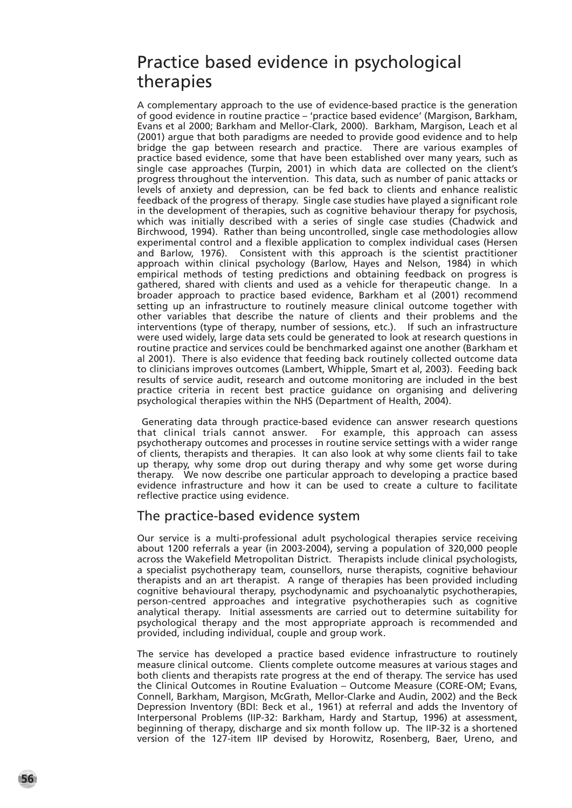## Practice based evidence in psychological therapies

A complementary approach to the use of evidence-based practice is the generation of good evidence in routine practice – 'practice based evidence' (Margison, Barkham, Evans et al 2000; Barkham and Mellor-Clark, 2000). Barkham, Margison, Leach et al (2001) argue that both paradigms are needed to provide good evidence and to help bridge the gap between research and practice. There are various examples of practice based evidence, some that have been established over many years, such as single case approaches (Turpin, 2001) in which data are collected on the client's progress throughout the intervention. This data, such as number of panic attacks or levels of anxiety and depression, can be fed back to clients and enhance realistic feedback of the progress of therapy. Single case studies have played a significant role in the development of therapies, such as cognitive behaviour therapy for psychosis, which was initially described with a series of single case studies (Chadwick and Birchwood, 1994). Rather than being uncontrolled, single case methodologies allow experimental control and a flexible application to complex individual cases (Hersen and Barlow, 1976). Consistent with this approach is the scientist practitioner approach within clinical psychology (Barlow, Hayes and Nelson, 1984) in which empirical methods of testing predictions and obtaining feedback on progress is gathered, shared with clients and used as a vehicle for therapeutic change. In a broader approach to practice based evidence, Barkham et al (2001) recommend setting up an infrastructure to routinely measure clinical outcome together with other variables that describe the nature of clients and their problems and the interventions (type of therapy, number of sessions, etc.). If such an infrastructure were used widely, large data sets could be generated to look at research questions in routine practice and services could be benchmarked against one another (Barkham et al 2001). There is also evidence that feeding back routinely collected outcome data to clinicians improves outcomes (Lambert, Whipple, Smart et al, 2003). Feeding back results of service audit, research and outcome monitoring are included in the best practice criteria in recent best practice guidance on organising and delivering psychological therapies within the NHS (Department of Health, 2004).

Generating data through practice-based evidence can answer research questions that clinical trials cannot answer. For example, this approach can assess psychotherapy outcomes and processes in routine service settings with a wider range of clients, therapists and therapies. It can also look at why some clients fail to take up therapy, why some drop out during therapy and why some get worse during therapy. W e now describe one particular approach to developing a practice based evidence infrastructure and how it can be used to create a culture to facilitate reflective practice using evidence.

#### The practice-based evidence system

Our service is a multi-professional adult psychological therapies service receiving about 1200 referrals a year (in 2003-2004), serving a population of 320,000 people across the Wakefield Metropolitan District. Therapists include clinical psychologists, a specialist psychotherapy team, counsellors, nurse therapists, cognitive behaviour therapists and an art therapist. A range of therapies has been provided including cognitive behavioural therapy, psychodynamic and psychoanalytic psychotherapies, person-centred approaches and integrative psychotherapies such as cognitive analytical therapy. Initial assessments are carried out to determine suitability for psychological therapy and the most appropriate approach is recommended and provided, including individual, couple and group work.

The service has developed a practice based evidence infrastructure to routinely measure clinical outcome. Clients complete outcome measures at various stages and both clients and therapists rate progress at the end of therapy. The service has used the Clinical Outcomes in Routine Evaluation – Outcome Measure (CORE-OM; Evans, Connell, Barkham, Margison, McGrath, Mellor-Clarke and Audin, 2002) and the Beck Depression Inventory (BDI: Beck et al., 1961) at referral and adds the Inventory of Interpersonal Problems (IIP-32: Barkham, Hardy and Startup, 1996) at assessment, beginning of therapy, discharge and six month follow up. The IIP-32 is a shortened version of the 127-item IIP devised by Horowitz, Rosenberg, Baer, Ureno, and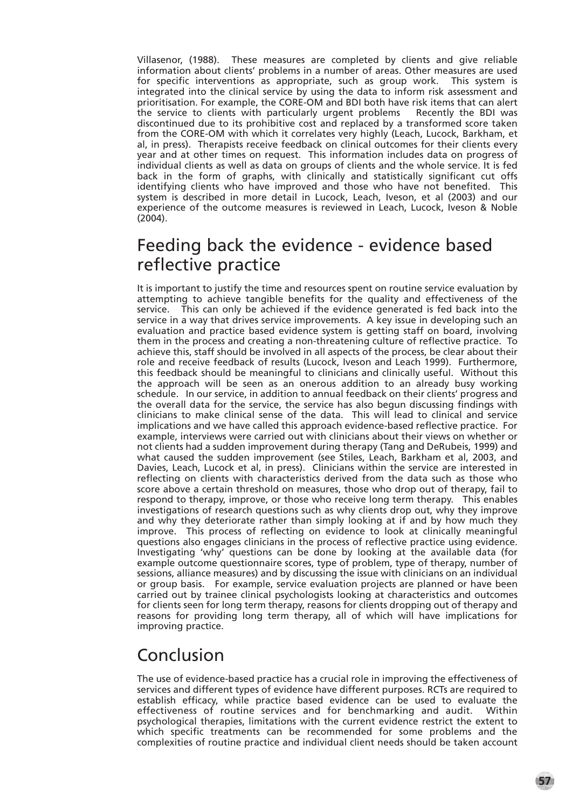Villasenor, (1988). These measures are completed by clients and give reliable information about clients' problems in a number of areas. Other measures are used for specific interventions as appropriate, such as group work. This system is integrated into the clinical service by using the data to inform risk assessment and prioritisation. For example, the CORE-OM and BDI both have risk items that can alert the service to clients with particularly urgent problems Recently the BDI was discontinued due to its prohibitive cost and replaced by a transformed score taken from the CORE-OM with which it correlates very highly (Leach, Lucock, Barkham, et al, in press). Therapists receive feedback on clinical outcomes for their clients every year and at other times on request. This information includes data on progress of individual clients as well as data on groups of clients and the whole service. It is fed back in the form of graphs, with clinically and statistically significant cut offs identifying clients who have improved and those who have not benefited. This system is described in more detail in Lucock, Leach, Iveson, et al (2003) and our experience of the outcome measures is reviewed in Leach, Lucock, Iveson & Noble  $(2004)$ .

### Feeding back the evidence - evidence based reflective practice

It is important to justify the time and resources spent on routine service evaluation by attempting to achieve tangible benefits for the quality and effectiveness of the service. This can only be achieved if the evidence generated is fed back into the service in a way that drives service improvements. A key issue in developing such an evaluation and practice based evidence system is getting staff on board, involving them in the process and creating a non-threatening culture of reflective practice. To achieve this, staff should be involved in all aspects of the process, be clear about their role and receive feedback of results (Lucock, Iveson and Leach 1999). Furthermore, this feedback should be meaningful to clinicians and clinically useful. Without this the approach will be seen as an onerous addition to an already busy working schedule. In our service, in addition to annual feedback on their clients' progress and the overall data for the service, the service has also begun discussing findings with clinicians to make clinical sense of the data. This will lead to clinical and service implications and we have called this approach evidence-based reflective practice. For example, interviews were carried out with clinicians about their views on whether or not clients had a sudden improvement during therapy (Tang and DeRubeis, 1999) and what caused the sudden improvement (see Stiles, Leach, Barkham et al, 2003, and Davies, Leach, Lucock et al, in press). Clinicians within the service are interested in reflecting on clients with characteristics derived from the data such as those who score above a certain threshold on measures, those who drop out of therapy, fail to respond to therapy, improve, or those who receive long term therapy. This enables investigations of research questions such as why clients drop out, why they improve and why they deteriorate rather than simply looking at if and by how much they improve. This process of reflecting on evidence to look at clinically meaningful questions also engages clinicians in the process of reflective practice using evidence. Investigating 'why' questions can be done by looking at the available data (for example outcome questionnaire scores, type of problem, type of therapy, number of sessions, alliance measures) and by discussing the issue with clinicians on an individual or group basis. For example, service evaluation projects are planned or have been carried out by trainee clinical psychologists looking at characteristics and outcomes for clients seen for long term therapy, reasons for clients dropping out of therapy and reasons for providing long term therapy, all of which will have implications for improving practice.

### Conclusion

The use of evidence-based practice has a crucial role in improving the effectiveness of services and different types of evidence have different purposes. RCTs are required to establish efficacy, while practice based evidence can be used to evaluate the effectiveness of routine services and for benchmarking and audit. Within psychological therapies, limitations with the current evidence restrict the extent to which specific treatments can be recommended for some problems and the complexities of routine practice and individual client needs should be taken account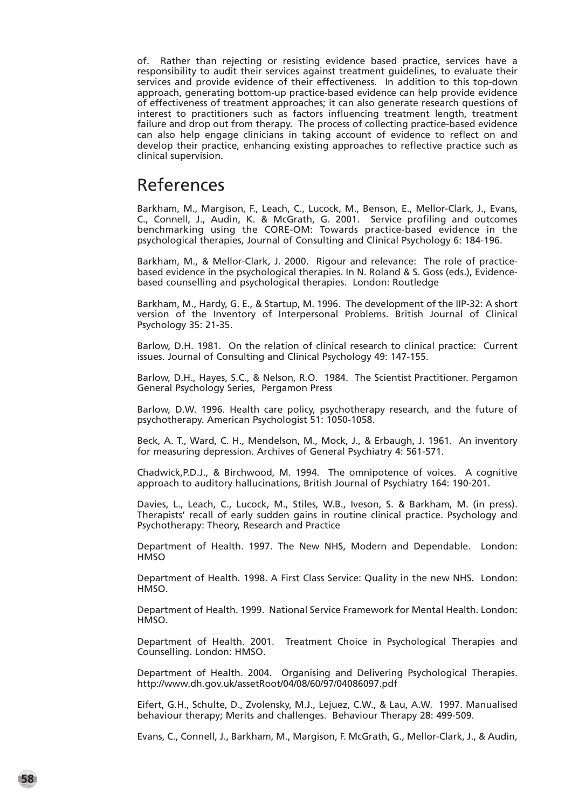of. Rather than rejecting or resisting evidence based practice, services have a responsibility to audit their services against treatment guidelines, to evaluate their services and provide evidence of their effectiveness. In addition to this top-down approach, generating bottom-up practice-based evidence can help provide evidence of effectiveness of treatment approaches; it can also generate research questions of interest to practitioners such as factors influencing treatment length, treatment failure and drop out from therapy. The process of collecting practice-based evidence can also help engage clinicians in taking account of evidence to reflect on and develop their practice, enhancing existing approaches to reflective practice such as clinical supervision.

### References

Barkham, M., Margison, F., Leach, C., Lucock, M., Benson, E., Mellor-Clark, J., Evans, C., Connell, J., Audin, K. & McGrath, G. 2001. Service profiling and outcomes benchmarking using the CORE-OM: Towards practice-based evidence in the psychological therapies, Journal of Consulting and Clinical Psychology 6: 184-196.

Barkham, M., & Mellor-Clark, J. 2000. Rigour and relevance: The role of practicebased evidence in the psychological therapies. In N. Roland & S. Goss (eds.), Evidencebased counselling and psychological therapies. London: Routledge

Barkham, M., Hardy, G. E., & Startup, M. 1996. The development of the IIP-32: A short version of the Inventory of Interpersonal Problems. British Journal of Clinical Psychology 35: 21-35.

Barlow, D.H. 1981. On the relation of clinical research to clinical practice: Current issues. Journal of Consulting and Clinical Psychology 49: 147-155.

Barlow, D.H., Hayes, S.C., & Nelson, R.O. 1984. The Scientist Practitioner. Pergamon General Psychology Series, Pergamon Press

Barlow, D.W. 1996. Health care policy, psychotherapy research, and the future of psychotherapy. American Psychologist 51: 1050-1058.

Beck, A. T., Ward, C. H., Mendelson, M., Mock, J., & Erbaugh, J. 1961. An inventory for measuring depression. Archives of General Psychiatry 4: 561-571.

Chadwick,P.D.J., & Birchwood, M. 1994. The omnipotence of voices. A cognitive approach to auditory hallucinations, British Journal of Psychiatry 164: 190-201.

Davies, L., Leach, C., Lucock, M., Stiles, W.B., Iveson, S. & Barkham, M. (in press). Therapists' recall of early sudden gains in routine clinical practice. Psychology and Psychotherapy: Theory, Research and Practice

Department of Health. 1997. The New NHS, Modern and Dependable. London: **HMSO** 

Department of Health. 1998. A First Class Service: Quality in the new NHS. London: HMSO.

Department of Health. 1999. National Service Framework for Mental Health. London: **HMSO** 

Department of Health. 2001. Treatment Choice in Psychological Therapies and Counselling. London: HMSO.

Department of Health. 2004. Organising and Delivering Psychological Therapies. http://www.dh.gov.uk/assetRoot/04/08/60/97/04086097.pdf

Eifert, G.H., Schulte, D., Zvolensky, M.J., Lejuez, C.W., & Lau, A.W. 1997. Manualised behaviour therapy; Merits and challenges. Behaviour Therapy 28: 499-509.

Evans, C., Connell, J., Barkham, M., Margison, F. McGrath, G., Mellor-Clark, J., & Audin,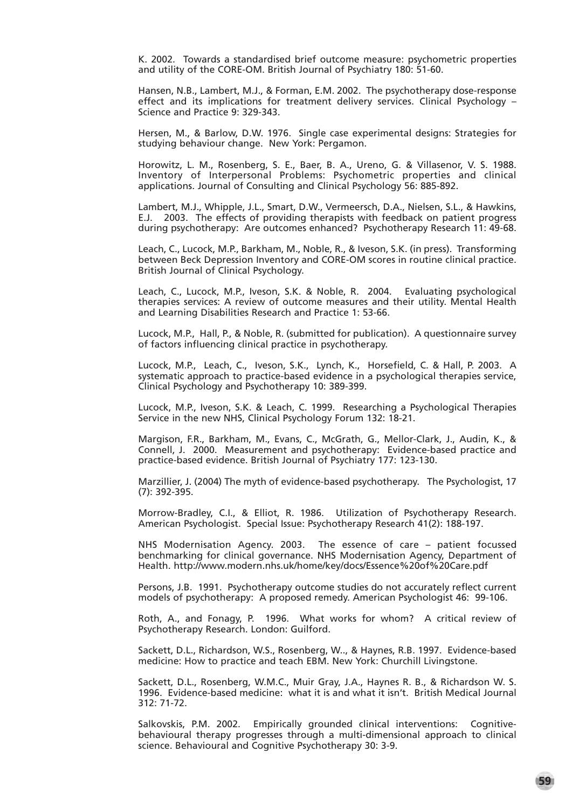K. 2002. Towards a standardised brief outcome measure: psychometric properties and utility of the CORE-OM. British Journal of Psychiatry 180: 51-60.

Hansen, N.B., Lambert, M.J., & Forman, E.M. 2002. The psychotherapy dose-response effect and its implications for treatment delivery services. Clinical Psychology – Science and Practice 9: 329-343.

Hersen, M., & Barlow, D.W. 1976. Single case experimental designs: Strategies for studying behaviour change. New York: Pergamon.

Horowitz, L. M., Rosenberg, S. E., Baer, B. A., Ureno, G. & Villasenor, V. S. 1988. Inventory of Interpersonal Problems: Psychometric properties and clinical applications. Journal of Consulting and Clinical Psychology 56: 885-892.

Lambert, M.J., Whipple, J.L., Smart, D.W., Vermeersch, D.A., Nielsen, S.L., & Hawkins, E.J. 2003. The effects of providing therapists with feedback on patient progress during psychotherapy: Are outcomes enhanced? Psychotherapy Research 11: 49-68.

Leach, C., Lucock, M.P., Barkham, M., Noble, R., & Iveson, S.K. (in press). Transforming between Beck Depression Inventory and CORE-OM scores in routine clinical practice. British Journal of Clinical Psychology.

Leach, C., Lucock, M.P., Iveson, S.K. & Noble, R. 2004. Evaluating psychological therapies services: A review of outcome measures and their utility. Mental Health and Learning Disabilities Research and Practice 1: 53-66.

Lucock, M.P., Hall, P., & Noble, R. (submitted for publication). A questionnaire survey of factors influencing clinical practice in psychotherapy.

Lucock, M.P., Leach, C., Iveson, S.K., Lynch, K., Horsefield, C. & Hall, P. 2003. A systematic approach to practice-based evidence in a psychological therapies service, Clinical Psychology and Psychotherapy 10: 389-399.

Lucock, M.P., Iveson, S.K. & Leach, C. 1999. Researching a Psychological Therapies Service in the new NHS, Clinical Psychology Forum 132: 18-21.

Margison, F.R., Barkham, M., Evans, C., McGrath, G., Mellor-Clark, J., Audin, K., & Connell, J. 2000. Measurement and psychotherapy: Evidence-based practice and practice-based evidence. British Journal of Psychiatry 177: 123-130.

Marzillier, J. (2004) The myth of evidence-based psychotherapy. The Psychologist, 17 (7): 392-395.

Morrow-Bradley, C.I., & Elliot, R. 1986. Utilization of Psychotherapy Research. American Psychologist. Special Issue: Psychotherapy Research 41(2): 188-197.

NHS Modernisation Agency. 2003. The essence of care – patient focussed benchmarking for clinical governance. NHS Modernisation Agency, Department of Health. http://www.modern.nhs.uk/home/key/docs/Essence%20of%20Care.pdf

Persons, J.B. 1991. Psychotherapy outcome studies do not accurately reflect current models of psychotherapy: A proposed remedy. American Psychologist 46: 99-106.

Roth, A., and Fonagy, P. 1996. What works for whom? A critical review of Psychotherapy Research. London: Guilford.

Sackett, D.L., Richardson, W.S., Rosenberg, W.., & Haynes, R.B. 1997. Evidence-based medicine: How to practice and teach EBM. New York: Churchill Livingstone.

Sackett, D.L., Rosenberg, W.M.C., Muir Gray, J.A., Haynes R. B., & Richardson W. S. 1996. Evidence-based medicine: what it is and what it isn't. British Medical Journal 312: 71-72.

Salkovskis, P.M. 2002. Empirically grounded clinical interventions: Cognitivebehavioural therapy progresses through a multi-dimensional approach to clinical science. Behavioural and Cognitive Psychotherapy 30: 3-9.